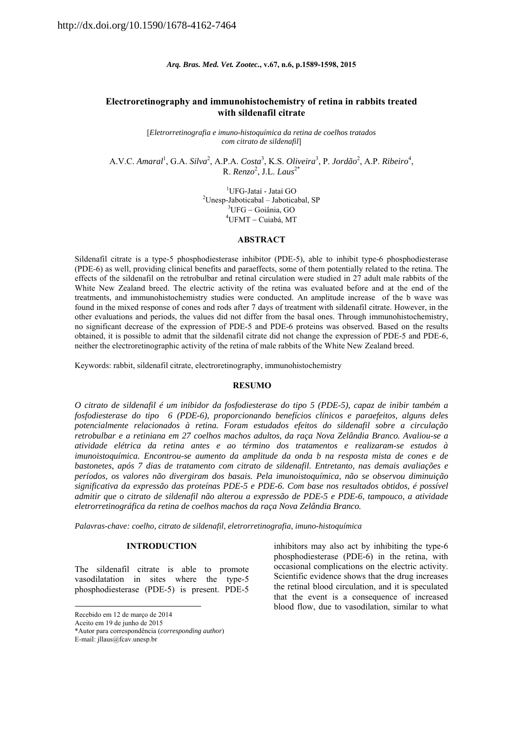*Arq. Bras. Med. Vet. Zootec.***, v.67, n.6, p.1589-1598, 2015** 

## **Electroretinography and immunohistochemistry of retina in rabbits treated with sildenafil citrate**

[*Eletrorretinografia e imuno-histoquímica da retina de coelhos tratados com citrato de sildenafil*]

A.V.C. Amaral<sup>1</sup>, G.A. *Silva*<sup>2</sup>, A.P.A. *Costa*<sup>3</sup>, K.S. *Oliveira*<sup>3</sup>, P. *Jordão*<sup>2</sup>, A.P. *Ribeiro*<sup>4</sup>, R. *Renzo*<sup>2</sup> , J.L. *Laus*2\*

> <sup>1</sup>UFG-Jataí - Jataí GO <sup>1</sup>UFG-Jataí - Jataí GO<br><sup>2</sup>Ulnoan Jakatischel - Jakatisch Unesp-Jaboticabal – Jaboticabal, SP<br> $\frac{3_{\text{HEC}}}{\text{G}}$  Goiânia GO  ${}^{3}UFG-Goiânia$ , GO  $4$ UFMT - Cuiabá, MT

## **ABSTRACT**

Sildenafil citrate is a type-5 phosphodiesterase inhibitor (PDE-5), able to inhibit type-6 phosphodiesterase (PDE-6) as well, providing clinical benefits and paraeffects, some of them potentially related to the retina. The effects of the sildenafil on the retrobulbar and retinal circulation were studied in 27 adult male rabbits of the White New Zealand breed. The electric activity of the retina was evaluated before and at the end of the treatments, and immunohistochemistry studies were conducted. An amplitude increase of the b wave was found in the mixed response of cones and rods after 7 days of treatment with sildenafil citrate. However, in the other evaluations and periods, the values did not differ from the basal ones. Through immunohistochemistry, no significant decrease of the expression of PDE-5 and PDE-6 proteins was observed. Based on the results obtained, it is possible to admit that the sildenafil citrate did not change the expression of PDE-5 and PDE-6, neither the electroretinographic activity of the retina of male rabbits of the White New Zealand breed.

Keywords: rabbit, sildenafil citrate, electroretinography, immunohistochemistry

#### **RESUMO**

*O citrato de sildenafil é um inibidor da fosfodiesterase do tipo 5 (PDE-5), capaz de inibir também a fosfodiesterase do tipo 6 (PDE-6), proporcionando benefícios clínicos e paraefeitos, alguns deles potencialmente relacionados à retina. Foram estudados efeitos do sildenafil sobre a circulação retrobulbar e a retiniana em 27 coelhos machos adultos, da raça Nova Zelândia Branco. Avaliou-se a atividade elétrica da retina antes e ao término dos tratamentos e realizaram-se estudos à imunoistoquímica. Encontrou-se aumento da amplitude da onda b na resposta mista de cones e de bastonetes, após 7 dias de tratamento com citrato de sildenafil. Entretanto, nas demais avaliações e períodos, os valores não divergiram dos basais. Pela imunoistoquímica, não se observou diminuição significativa da expressão das proteínas PDE-5 e PDE-6. Com base nos resultados obtidos, é possível admitir que o citrato de sildenafil não alterou a expressão de PDE-5 e PDE-6, tampouco, a atividade eletrorretinográfica da retina de coelhos machos da raça Nova Zelândia Branco.* 

*Palavras-chave: coelho, citrato de sildenafil, eletrorretinografia, imuno-histoquímica*

#### **INTRODUCTION**

The sildenafil citrate is able to promote vasodilatation in sites where the type-5 phosphodiesterase (PDE-5) is present. PDE-5

1

inhibitors may also act by inhibiting the type-6 phosphodiesterase (PDE-6) in the retina, with occasional complications on the electric activity. Scientific evidence shows that the drug increases the retinal blood circulation, and it is speculated that the event is a consequence of increased blood flow, due to vasodilation, similar to what

Recebido em 12 de março de 2014

Aceito em 19 de junho de 2015

<sup>\*</sup>Autor para correspondência (*corresponding author*)

E-mail: jllaus@fcav.unesp.br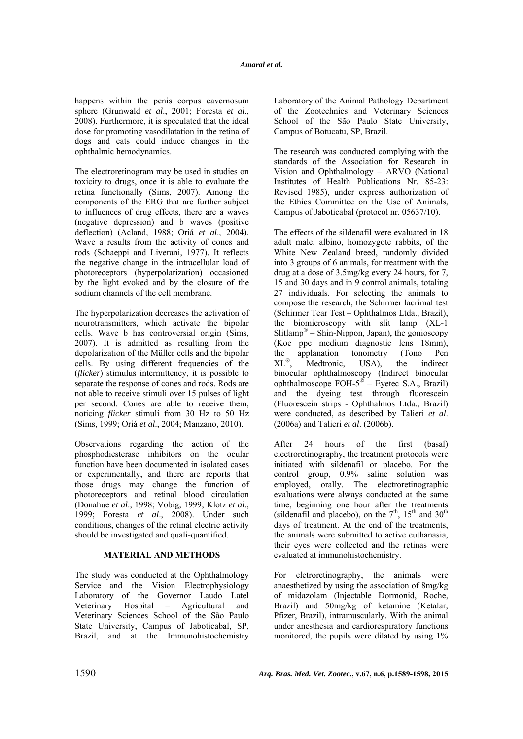happens within the penis corpus cavernosum sphere (Grunwald *et al*., 2001; Foresta *et al*., 2008). Furthermore, it is speculated that the ideal dose for promoting vasodilatation in the retina of dogs and cats could induce changes in the ophthalmic hemodynamics.

The electroretinogram may be used in studies on toxicity to drugs, once it is able to evaluate the retina functionally (Sims, 2007). Among the components of the ERG that are further subject to influences of drug effects, there are a waves (negative depression) and b waves (positive deflection) (Acland, 1988; Oriá *et al*., 2004). Wave a results from the activity of cones and rods (Schaeppi and Liverani, 1977). It reflects the negative change in the intracellular load of photoreceptors (hyperpolarization) occasioned by the light evoked and by the closure of the sodium channels of the cell membrane.

The hyperpolarization decreases the activation of neurotransmitters, which activate the bipolar cells. Wave b has controversial origin (Sims, 2007). It is admitted as resulting from the depolarization of the Müller cells and the bipolar cells. By using different frequencies of the (*flicker*) stimulus intermittency, it is possible to separate the response of cones and rods. Rods are not able to receive stimuli over 15 pulses of light per second. Cones are able to receive them, noticing *flicker* stimuli from 30 Hz to 50 Hz (Sims, 1999; Oriá *et al*., 2004; Manzano, 2010).

Observations regarding the action of the phosphodiesterase inhibitors on the ocular function have been documented in isolated cases or experimentally, and there are reports that those drugs may change the function of photoreceptors and retinal blood circulation (Donahue *et al*., 1998; Vobig, 1999; Klotz *et al*., 1999; Foresta *et al*., 2008). Under such conditions, changes of the retinal electric activity should be investigated and quali-quantified.

# **MATERIAL AND METHODS**

The study was conducted at the Ophthalmology Service and the Vision Electrophysiology Laboratory of the Governor Laudo Latel Veterinary Hospital – Agricultural and Veterinary Sciences School of the São Paulo State University, Campus of Jaboticabal, SP, Brazil, and at the Immunohistochemistry Laboratory of the Animal Pathology Department of the Zootechnics and Veterinary Sciences School of the São Paulo State University, Campus of Botucatu, SP, Brazil.

The research was conducted complying with the standards of the Association for Research in Vision and Ophthalmology – ARVO (National Institutes of Health Publications Nr. 85-23: Revised 1985), under express authorization of the Ethics Committee on the Use of Animals, Campus of Jaboticabal (protocol nr. 05637/10).

The effects of the sildenafil were evaluated in 18 adult male, albino, homozygote rabbits, of the White New Zealand breed, randomly divided into 3 groups of 6 animals, for treatment with the drug at a dose of 3.5mg/kg every 24 hours, for 7, 15 and 30 days and in 9 control animals, totaling 27 individuals. For selecting the animals to compose the research, the Schirmer lacrimal test (Schirmer Tear Test – Ophthalmos Ltda., Brazil), the biomicroscopy with slit lamp (XL-1 Slitlamp® – Shin-Nippon, Japan), the gonioscopy (Koe ppe medium diagnostic lens 18mm), the applanation tonometry (Tono Pen XL®, Medtronic, USA), the indirect binocular ophthalmoscopy (Indirect binocular ophthalmoscope  $FOH-5^{\circledast}$  – Eyetec S.A., Brazil) and the dyeing test through fluorescein (Fluorescein strips - Ophthalmos Ltda., Brazil) were conducted, as described by Talieri *et al*. (2006a) and Talieri *et al*. (2006b).

After 24 hours of the first (basal) electroretinography, the treatment protocols were initiated with sildenafil or placebo. For the control group, 0.9% saline solution was employed, orally. The electroretinographic evaluations were always conducted at the same time, beginning one hour after the treatments (sildenafil and placebo), on the  $7<sup>th</sup>$ ,  $15<sup>th</sup>$  and  $30<sup>th</sup>$ days of treatment. At the end of the treatments, the animals were submitted to active euthanasia, their eyes were collected and the retinas were evaluated at immunohistochemistry.

For eletroretinography, the animals were anaesthetized by using the association of 8mg/kg of midazolam (Injectable Dormonid, Roche, Brazil) and 50mg/kg of ketamine (Ketalar, Pfizer, Brazil), intramuscularly. With the animal under anesthesia and cardiorespiratory functions monitored, the pupils were dilated by using 1%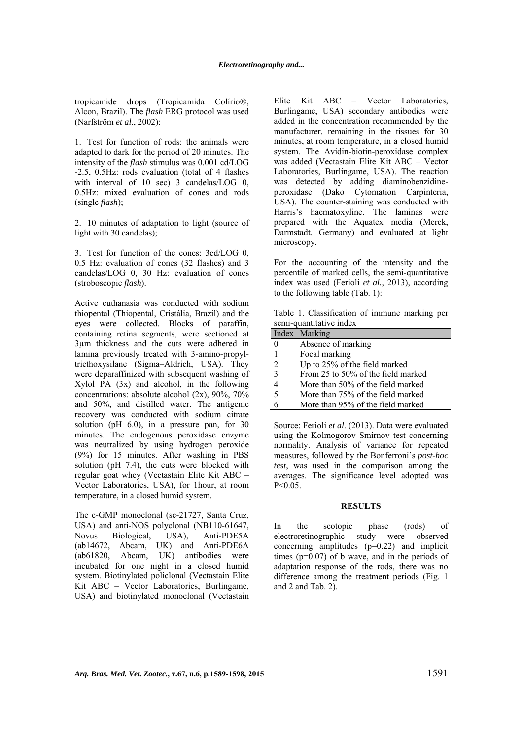tropicamide drops (Tropicamida Colírio®, Alcon, Brazil). The *flash* ERG protocol was used (Narfström *et al*., 2002):

1. Test for function of rods: the animals were adapted to dark for the period of 20 minutes. The intensity of the *flash* stimulus was 0.001 cd/LOG -2.5, 0.5Hz: rods evaluation (total of 4 flashes with interval of 10 sec) 3 candelas/LOG 0, 0.5Hz: mixed evaluation of cones and rods (single *flash*);

2. 10 minutes of adaptation to light (source of light with 30 candelas);

3. Test for function of the cones: 3cd/LOG 0, 0.5 Hz: evaluation of cones (32 flashes) and 3 candelas/LOG 0, 30 Hz: evaluation of cones (stroboscopic *flash*).

Active euthanasia was conducted with sodium thiopental (Thiopental, Cristália, Brazil) and the eyes were collected. Blocks of paraffin, containing retina segments, were sectioned at 3µm thickness and the cuts were adhered in lamina previously treated with 3-amino-propyltriethoxysilane (Sigma–Aldrich, USA). They were deparaffinized with subsequent washing of Xylol PA (3x) and alcohol, in the following concentrations: absolute alcohol (2x), 90%, 70% and 50%, and distilled water. The antigenic recovery was conducted with sodium citrate solution (pH 6.0), in a pressure pan, for 30 minutes. The endogenous peroxidase enzyme was neutralized by using hydrogen peroxide (9%) for 15 minutes. After washing in PBS solution (pH 7.4), the cuts were blocked with regular goat whey (Vectastain Elite Kit ABC – Vector Laboratories, USA), for 1hour, at room temperature, in a closed humid system.

The c-GMP monoclonal (sc-21727, Santa Cruz, USA) and anti-NOS polyclonal (NB110-61647, Novus Biological, USA), Anti-PDE5A (ab14672, Abcam, UK) and Anti-PDE6A (ab61820, Abcam, UK) antibodies were incubated for one night in a closed humid system. Biotinylated policlonal (Vectastain Elite Kit ABC – Vector Laboratories, Burlingame, USA) and biotinylated monoclonal (Vectastain Elite Kit ABC – Vector Laboratories, Burlingame, USA) secondary antibodies were added in the concentration recommended by the manufacturer, remaining in the tissues for 30 minutes, at room temperature, in a closed humid system. The Avidin-biotin-peroxidase complex was added (Vectastain Elite Kit ABC – Vector Laboratories, Burlingame, USA). The reaction was detected by adding diaminobenzidineperoxidase (Dako Cytomation Carpinteria, USA). The counter-staining was conducted with Harris's haematoxyline. The laminas were prepared with the Aquatex media (Merck, Darmstadt, Germany) and evaluated at light microscopy.

For the accounting of the intensity and the percentile of marked cells, the semi-quantitative index was used (Ferioli *et al.*, 2013), according to the following table (Tab. 1):

Table 1. Classification of immune marking per semi-quantitative index

|   | Index Marking                      |
|---|------------------------------------|
| 0 | Absence of marking                 |
|   | Focal marking                      |
| 2 | Up to 25% of the field marked      |
| κ | From 25 to 50% of the field marked |
|   | More than 50% of the field marked  |
| 5 | More than 75% of the field marked  |
|   | More than 95% of the field marked  |

Source: Ferioli *et al*. (2013). Data were evaluated using the Kolmogorov Smirnov test concerning normality. Analysis of variance for repeated measures, followed by the Bonferroni's *post-hoc test*, was used in the comparison among the averages. The significance level adopted was  $P < 0.05$ .

## **RESULTS**

In the scotopic phase (rods) of electroretinographic study were observed concerning amplitudes (p=0.22) and implicit times  $(p=0.07)$  of b wave, and in the periods of adaptation response of the rods, there was no difference among the treatment periods (Fig. 1 and 2 and Tab. 2).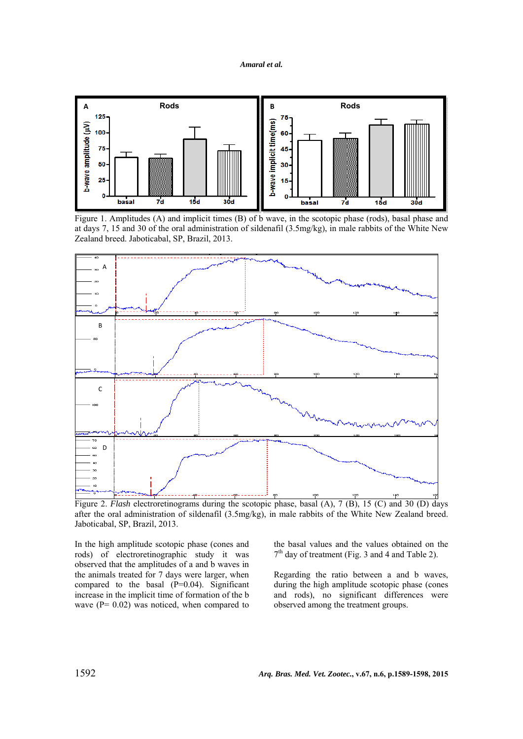



Figure 1. Amplitudes (A) and implicit times (B) of b wave, in the scotopic phase (rods), basal phase and at days 7, 15 and 30 of the oral administration of sildenafil (3.5mg/kg), in male rabbits of the White New Zealand breed. Jaboticabal, SP, Brazil, 2013.



Figure 2. *Flash* electroretinograms during the scotopic phase, basal (A), 7 (B), 15 (C) and 30 (D) days after the oral administration of sildenafil (3.5mg/kg), in male rabbits of the White New Zealand breed. Jaboticabal, SP, Brazil, 2013.

In the high amplitude scotopic phase (cones and rods) of electroretinographic study it was observed that the amplitudes of a and b waves in the animals treated for 7 days were larger, when compared to the basal  $(P=0.04)$ . Significant increase in the implicit time of formation of the b wave  $(P= 0.02)$  was noticed, when compared to

the basal values and the values obtained on the  $7<sup>th</sup>$  day of treatment (Fig. 3 and 4 and Table 2).

Regarding the ratio between a and b waves, during the high amplitude scotopic phase (cones and rods), no significant differences were observed among the treatment groups.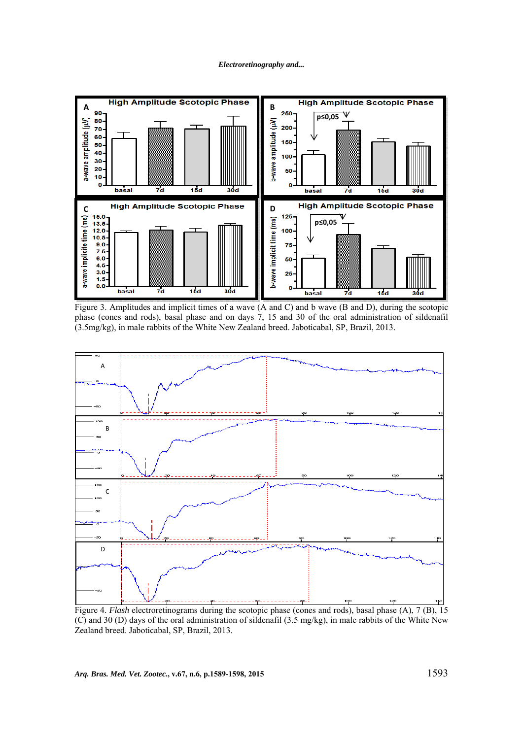#### *Electroretinography and...*



Figure 3. Amplitudes and implicit times of a wave (A and C) and b wave (B and D), during the scotopic phase (cones and rods), basal phase and on days 7, 15 and 30 of the oral administration of sildenafil (3.5mg/kg), in male rabbits of the White New Zealand breed. Jaboticabal, SP, Brazil, 2013.



Figure 4. *Flash* electroretinograms during the scotopic phase (cones and rods), basal phase (A), 7 (B), 15 (C) and 30 (D) days of the oral administration of sildenafil (3.5 mg/kg), in male rabbits of the White New Zealand breed. Jaboticabal, SP, Brazil, 2013.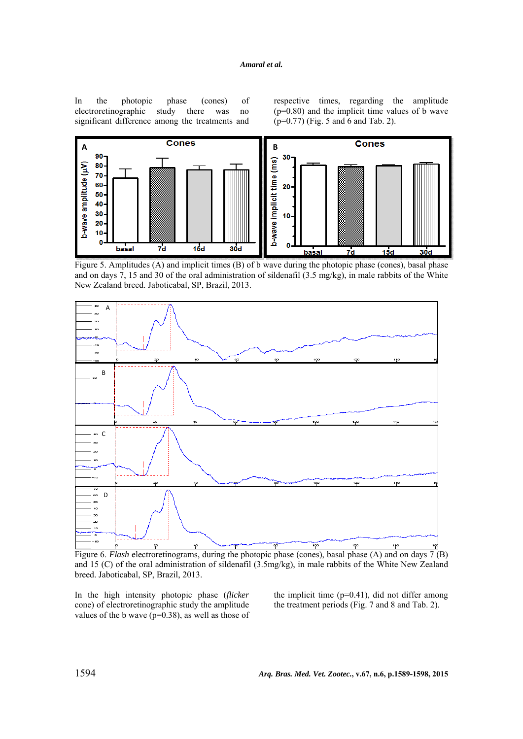In the photopic phase (cones) of electroretinographic study there was no significant difference among the treatments and

respective times, regarding the amplitude  $(p=0.80)$  and the implicit time values of b wave (p=0.77) (Fig. 5 and 6 and Tab. 2).



Figure 5. Amplitudes (A) and implicit times (B) of b wave during the photopic phase (cones), basal phase and on days 7, 15 and 30 of the oral administration of sildenafil (3.5 mg/kg), in male rabbits of the White New Zealand breed. Jaboticabal, SP, Brazil, 2013.



Figure 6. *Flash* electroretinograms, during the photopic phase (cones), basal phase (A) and on days 7 (B) and 15 (C) of the oral administration of sildenafil (3.5mg/kg), in male rabbits of the White New Zealand breed. Jaboticabal, SP, Brazil, 2013.

In the high intensity photopic phase (*flicker* cone) of electroretinographic study the amplitude values of the b wave ( $p=0.38$ ), as well as those of the implicit time  $(p=0.41)$ , did not differ among the treatment periods (Fig. 7 and 8 and Tab. 2).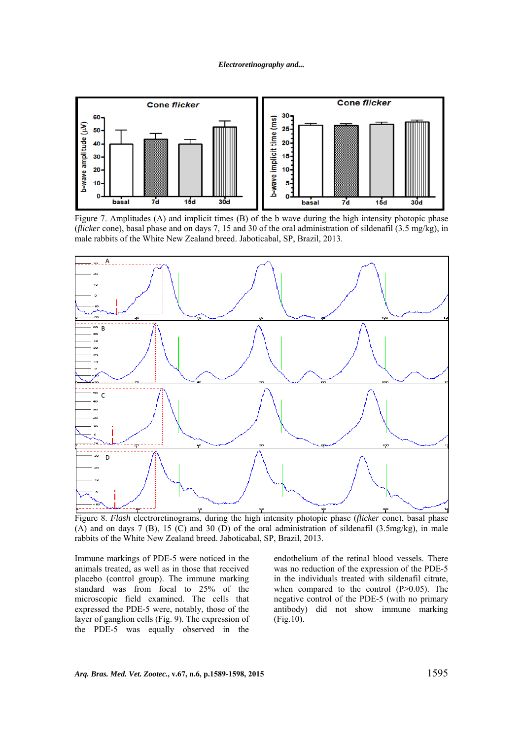

Figure 7. Amplitudes (A) and implicit times (B) of the b wave during the high intensity photopic phase (*flicker* cone), basal phase and on days 7, 15 and 30 of the oral administration of sildenafil (3.5 mg/kg), in male rabbits of the White New Zealand breed. Jaboticabal, SP, Brazil, 2013.



Figure 8. *Flash* electroretinograms, during the high intensity photopic phase (*flicker* cone), basal phase (A) and on days 7 (B), 15 (C) and 30 (D) of the oral administration of sildenafil (3.5mg/kg), in male rabbits of the White New Zealand breed. Jaboticabal, SP, Brazil, 2013.

Immune markings of PDE-5 were noticed in the animals treated, as well as in those that received placebo (control group). The immune marking standard was from focal to 25% of the microscopic field examined. The cells that expressed the PDE-5 were, notably, those of the layer of ganglion cells (Fig. 9). The expression of the PDE-5 was equally observed in the

endothelium of the retinal blood vessels. There was no reduction of the expression of the PDE-5 in the individuals treated with sildenafil citrate, when compared to the control (P>0.05). The negative control of the PDE-5 (with no primary antibody) did not show immune marking (Fig.10).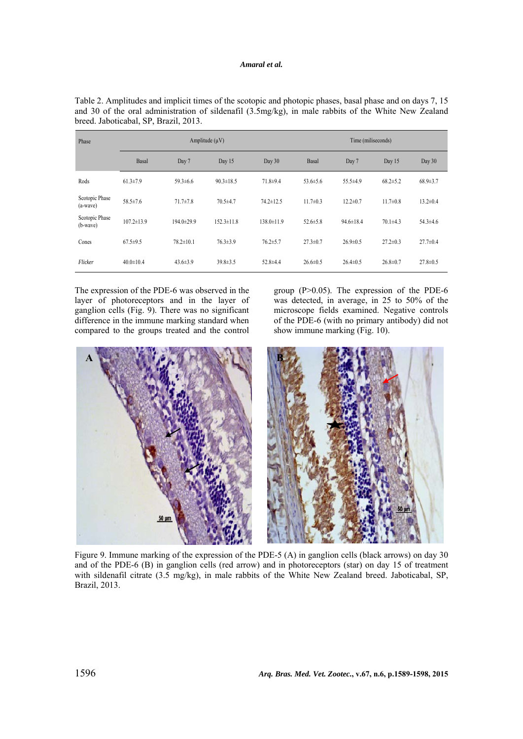| Phase                        | Amplitude $(\mu V)$ |                 |                  |                  | Time (miliseconds) |                 |                |                |
|------------------------------|---------------------|-----------------|------------------|------------------|--------------------|-----------------|----------------|----------------|
|                              | Basal               | Day 7           | Day 15           | Day 30           | Basal              | Day 7           | Day 15         | Day 30         |
| Rods                         | $61.3 \pm 7.9$      | $59.3 \pm 6.6$  | $90.3 \pm 18.5$  | 71.8±9.4         | $53.6 \pm 5.6$     | $55.5 \pm 4.9$  | $68.2 \pm 5.2$ | $68.9 \pm 3.7$ |
| Scotopic Phase<br>$(a-wave)$ | 58.5±7.6            | $71.7 \pm 7.8$  | $70.5 \pm 4.7$   | $74.2 \pm 12.5$  | $11.7 \pm 0.3$     | $12.2 \pm 0.7$  | $11.7 \pm 0.8$ | $13.2 \pm 0.4$ |
| Scotopic Phase<br>$(b-wave)$ | $107.2 \pm 13.9$    | 194.0±29.9      | $152.3 \pm 11.8$ | $138.0 \pm 11.9$ | $52.6 \pm 5.8$     | $94.6 \pm 18.4$ | $70.1 \pm 4.3$ | $54.3 \pm 4.6$ |
| Cones                        | $67.5 \pm 9.5$      | $78.2 \pm 10.1$ | $76.3 \pm 3.9$   | $76.2 \pm 5.7$   | $27.3 \pm 0.7$     | $26.9 \pm 0.5$  | $27.2 \pm 0.3$ | $27.7 \pm 0.4$ |
| Flicker                      | $40.0 \pm 10.4$     | $43.6 \pm 3.9$  | $39.8 \pm 3.5$   | $52.8 \pm 4.4$   | $26.6 \pm 0.5$     | $26.4 \pm 0.5$  | $26.8 \pm 0.7$ | $27.8 \pm 0.5$ |

Table 2. Amplitudes and implicit times of the scotopic and photopic phases, basal phase and on days 7, 15 and 30 of the oral administration of sildenafil (3.5mg/kg), in male rabbits of the White New Zealand breed. Jaboticabal, SP, Brazil, 2013.

The expression of the PDE-6 was observed in the layer of photoreceptors and in the layer of ganglion cells (Fig. 9). There was no significant difference in the immune marking standard when compared to the groups treated and the control

group  $(P>0.05)$ . The expression of the PDE-6 was detected, in average, in 25 to 50% of the microscope fields examined. Negative controls of the PDE-6 (with no primary antibody) did not show immune marking (Fig. 10).



Figure 9. Immune marking of the expression of the PDE-5 (A) in ganglion cells (black arrows) on day 30 and of the PDE-6 (B) in ganglion cells (red arrow) and in photoreceptors (star) on day 15 of treatment with sildenafil citrate (3.5 mg/kg), in male rabbits of the White New Zealand breed. Jaboticabal, SP, Brazil, 2013.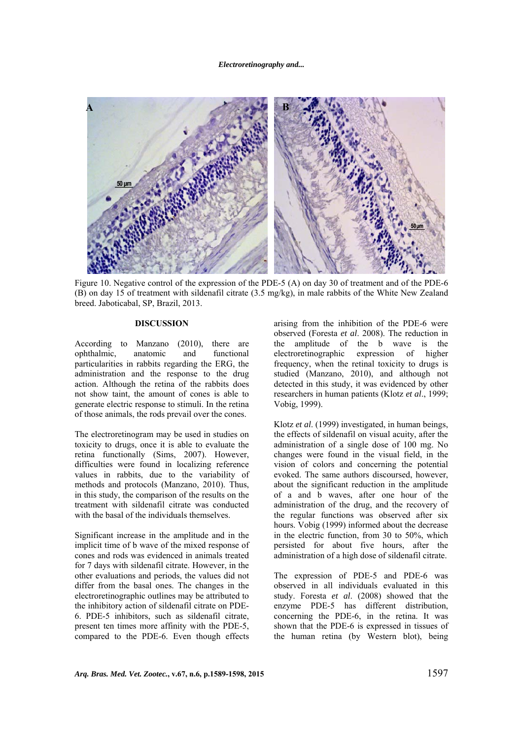

Figure 10. Negative control of the expression of the PDE-5 (A) on day 30 of treatment and of the PDE-6 (B) on day 15 of treatment with sildenafil citrate (3.5 mg/kg), in male rabbits of the White New Zealand breed. Jaboticabal, SP, Brazil, 2013.

# **DISCUSSION**

According to Manzano (2010), there are<br>ophthalmic, anatomic and functional ophthalmic, anatomic and functional particularities in rabbits regarding the ERG, the administration and the response to the drug action. Although the retina of the rabbits does not show taint, the amount of cones is able to generate electric response to stimuli. In the retina of those animals, the rods prevail over the cones.

The electroretinogram may be used in studies on toxicity to drugs, once it is able to evaluate the retina functionally (Sims, 2007). However, difficulties were found in localizing reference values in rabbits, due to the variability of methods and protocols (Manzano, 2010). Thus, in this study, the comparison of the results on the treatment with sildenafil citrate was conducted with the basal of the individuals themselves.

Significant increase in the amplitude and in the implicit time of b wave of the mixed response of cones and rods was evidenced in animals treated for 7 days with sildenafil citrate. However, in the other evaluations and periods, the values did not differ from the basal ones. The changes in the electroretinographic outlines may be attributed to the inhibitory action of sildenafil citrate on PDE-6. PDE-5 inhibitors, such as sildenafil citrate, present ten times more affinity with the PDE-5, compared to the PDE-6. Even though effects arising from the inhibition of the PDE-6 were observed (Foresta *et al*. 2008). The reduction in the amplitude of the b wave is the electroretinographic expression of higher frequency, when the retinal toxicity to drugs is studied (Manzano, 2010), and although not detected in this study, it was evidenced by other researchers in human patients (Klotz *et al*., 1999; Vobig, 1999).

Klotz *et al*. (1999) investigated, in human beings, the effects of sildenafil on visual acuity, after the administration of a single dose of 100 mg. No changes were found in the visual field, in the vision of colors and concerning the potential evoked. The same authors discoursed, however, about the significant reduction in the amplitude of a and b waves, after one hour of the administration of the drug, and the recovery of the regular functions was observed after six hours. Vobig (1999) informed about the decrease in the electric function, from 30 to 50%, which persisted for about five hours, after the administration of a high dose of sildenafil citrate.

The expression of PDE-5 and PDE-6 was observed in all individuals evaluated in this study. Foresta *et al*. (2008) showed that the enzyme PDE-5 has different distribution, concerning the PDE-6, in the retina. It was shown that the PDE-6 is expressed in tissues of the human retina (by Western blot), being